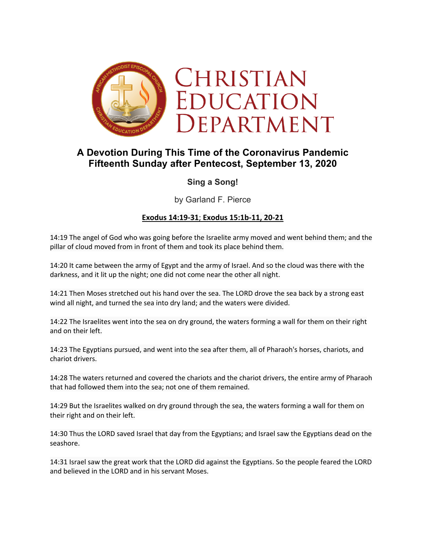

# **A Devotion During This Time of the Coronavirus Pandemic Fifteenth Sunday after Pentecost, September 13, 2020**

# **Sing a Song!**

by Garland F. Pierce

# **Exodus 14:19-31**; **Exodus 15:1b-11, 20-21**

14:19 The angel of God who was going before the Israelite army moved and went behind them; and the pillar of cloud moved from in front of them and took its place behind them.

14:20 It came between the army of Egypt and the army of Israel. And so the cloud was there with the darkness, and it lit up the night; one did not come near the other all night.

14:21 Then Moses stretched out his hand over the sea. The LORD drove the sea back by a strong east wind all night, and turned the sea into dry land; and the waters were divided.

14:22 The Israelites went into the sea on dry ground, the waters forming a wall for them on their right and on their left.

14:23 The Egyptians pursued, and went into the sea after them, all of Pharaoh's horses, chariots, and chariot drivers.

14:28 The waters returned and covered the chariots and the chariot drivers, the entire army of Pharaoh that had followed them into the sea; not one of them remained.

14:29 But the Israelites walked on dry ground through the sea, the waters forming a wall for them on their right and on their left.

14:30 Thus the LORD saved Israel that day from the Egyptians; and Israel saw the Egyptians dead on the seashore.

14:31 Israel saw the great work that the LORD did against the Egyptians. So the people feared the LORD and believed in the LORD and in his servant Moses.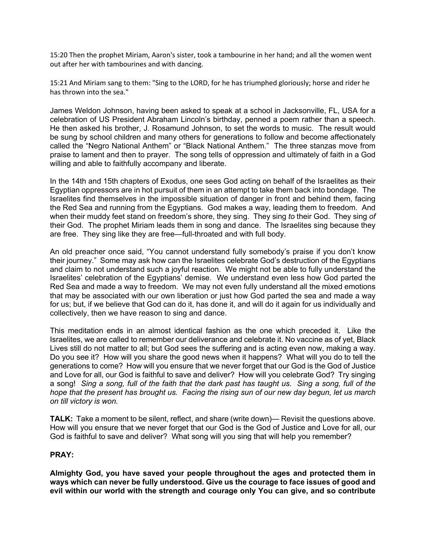15:20 Then the prophet Miriam, Aaron's sister, took a tambourine in her hand; and all the women went out after her with tambourines and with dancing.

15:21 And Miriam sang to them: "Sing to the LORD, for he has triumphed gloriously; horse and rider he has thrown into the sea."

James Weldon Johnson, having been asked to speak at a school in Jacksonville, FL, USA for a celebration of US President Abraham Lincoln's birthday, penned a poem rather than a speech. He then asked his brother, J. Rosamund Johnson, to set the words to music. The result would be sung by school children and many others for generations to follow and become affectionately called the "Negro National Anthem" or "Black National Anthem." The three stanzas move from praise to lament and then to prayer. The song tells of oppression and ultimately of faith in a God willing and able to faithfully accompany and liberate.

In the 14th and 15th chapters of Exodus, one sees God acting on behalf of the Israelites as their Egyptian oppressors are in hot pursuit of them in an attempt to take them back into bondage. The Israelites find themselves in the impossible situation of danger in front and behind them, facing the Red Sea and running from the Egyptians. God makes a way, leading them to freedom. And when their muddy feet stand on freedom's shore, they sing. They sing *to* their God. They sing *of* their God. The prophet Miriam leads them in song and dance. The Israelites sing because they are free. They sing like they are free—full-throated and with full body.

An old preacher once said, "You cannot understand fully somebody's praise if you don't know their journey." Some may ask how can the Israelites celebrate God's destruction of the Egyptians and claim to not understand such a joyful reaction. We might not be able to fully understand the Israelites' celebration of the Egyptians' demise. We understand even less how God parted the Red Sea and made a way to freedom. We may not even fully understand all the mixed emotions that may be associated with our own liberation or just how God parted the sea and made a way for us; but, if we believe that God can do it, has done it, and will do it again for us individually and collectively, then we have reason to sing and dance.

This meditation ends in an almost identical fashion as the one which preceded it. Like the Israelites, we are called to remember our deliverance and celebrate it. No vaccine as of yet, Black Lives still do not matter to all; but God sees the suffering and is acting even now, making a way. Do you see it? How will you share the good news when it happens? What will you do to tell the generations to come? How will you ensure that we never forget that our God is the God of Justice and Love for all, our God is faithful to save and deliver? How will you celebrate God? Try singing a song! *Sing a song, full of the faith that the dark past has taught us. Sing a song, full of the hope that the present has brought us. Facing the rising sun of our new day begun, let us march on till victory is won.*

**TALK:** Take a moment to be silent, reflect, and share (write down)— Revisit the questions above. How will you ensure that we never forget that our God is the God of Justice and Love for all, our God is faithful to save and deliver? What song will you sing that will help you remember?

### **PRAY:**

**Almighty God, you have saved your people throughout the ages and protected them in ways which can never be fully understood. Give us the courage to face issues of good and evil within our world with the strength and courage only You can give, and so contribute**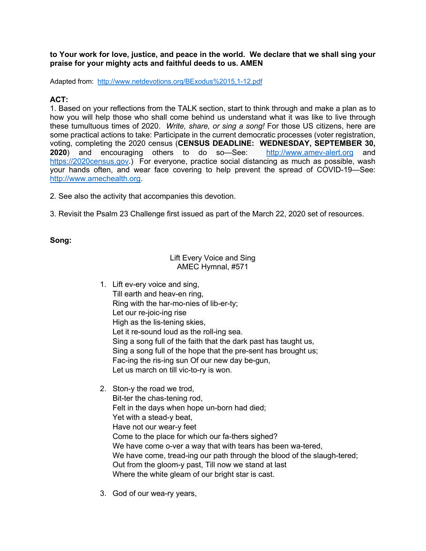#### **to Your work for love, justice, and peace in the world. We declare that we shall sing your praise for your mighty acts and faithful deeds to us. AMEN**

Adapted from: http://www.netdevotions.org/BExodus%2015,1-12.pdf

# **ACT:**

1. Based on your reflections from the TALK section, start to think through and make a plan as to how you will help those who shall come behind us understand what it was like to live through these tumultuous times of 2020. *Write, share, or sing a song!* For those US citizens, here are some practical actions to take: Participate in the current democratic processes (voter registration, voting, completing the 2020 census (**CENSUS DEADLINE: WEDNESDAY, SEPTEMBER 30, 2020**) and encouraging others to do so—See: http://www.amev-alert.org and https://2020census.gov.) For everyone, practice social distancing as much as possible, wash your hands often, and wear face covering to help prevent the spread of COVID-19—See: http://www.amechealth.org.

2. See also the activity that accompanies this devotion.

3. Revisit the Psalm 23 Challenge first issued as part of the March 22, 2020 set of resources.

#### **Song:**

# Lift Every Voice and Sing AMEC Hymnal, #571

- 1. Lift ev-ery voice and sing, Till earth and heav-en ring, Ring with the har-mo-nies of lib-er-ty; Let our re-joic-ing rise High as the lis-tening skies, Let it re-sound loud as the roll-ing sea. Sing a song full of the faith that the dark past has taught us, Sing a song full of the hope that the pre-sent has brought us; Fac-ing the ris-ing sun Of our new day be-gun, Let us march on till vic-to-ry is won.
- 2. Ston-y the road we trod, Bit-ter the chas-tening rod, Felt in the days when hope un-born had died; Yet with a stead-y beat, Have not our wear-y feet Come to the place for which our fa-thers sighed? We have come o-ver a way that with tears has been wa-tered, We have come, tread-ing our path through the blood of the slaugh-tered; Out from the gloom-y past, Till now we stand at last Where the white gleam of our bright star is cast.
- 3. God of our wea-ry years,